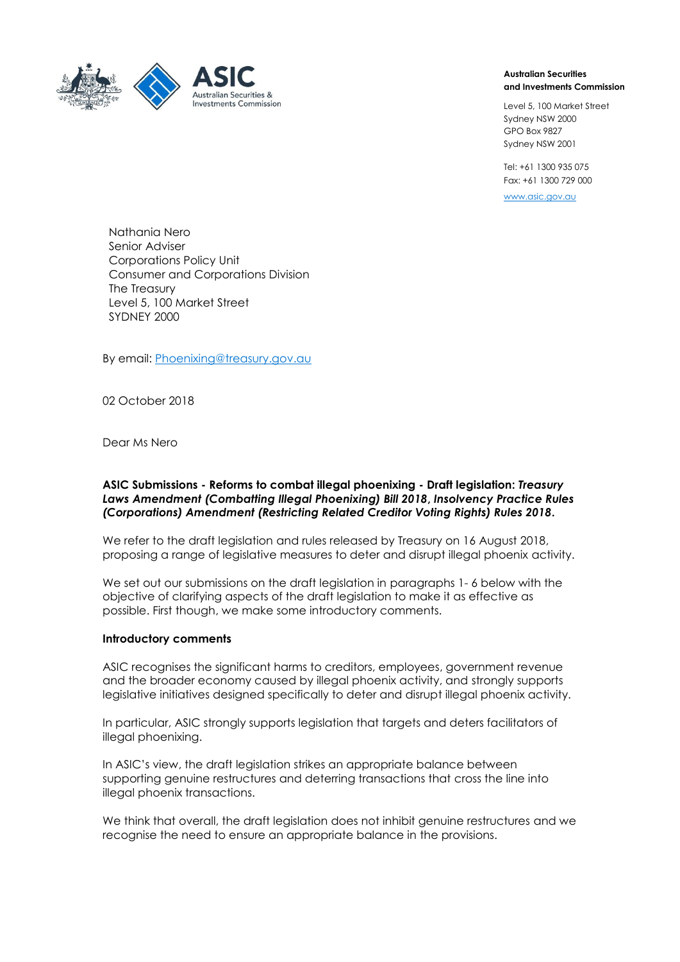

#### **Australian Securities and Investments Commission**

Level 5, 100 Market Street Sydney NSW 2000 GPO Box 9827 Sydney NSW 2001

Tel: +61 1300 935 075 Fax: +61 1300 729 000

[www.asic.gov.au](https://ecm.a1.asic.gov.au/activities/cstcloadvic/ExternalAdministration/www.asic.gov.au)

Nathania Nero Senior Adviser Corporations Policy Unit Consumer and Corporations Division The Treasury Level 5, 100 Market Street SYDNEY 2000

By email: [Phoenixing@treasury.gov.au](mailto:Phoenixing@treasury.gov.au)

02 October 2018

Dear Ms Nero

#### **ASIC Submissions - Reforms to combat illegal phoenixing - Draft legislation:** *Treasury Laws Amendment (Combatting Illegal Phoenixing) Bill 2018***,** *Insolvency Practice Rules (Corporations) Amendment (Restricting Related Creditor Voting Rights) Rules 2018***.**

We refer to the draft legislation and rules released by Treasury on 16 August 2018, proposing a range of legislative measures to deter and disrupt illegal phoenix activity.

We set out our submissions on the draft legislation in paragraphs 1- 6 below with the objective of clarifying aspects of the draft legislation to make it as effective as possible. First though, we make some introductory comments.

#### **Introductory comments**

ASIC recognises the significant harms to creditors, employees, government revenue and the broader economy caused by illegal phoenix activity, and strongly supports legislative initiatives designed specifically to deter and disrupt illegal phoenix activity.

In particular, ASIC strongly supports legislation that targets and deters facilitators of illegal phoenixing.

In ASIC's view, the draft legislation strikes an appropriate balance between supporting genuine restructures and deterring transactions that cross the line into illegal phoenix transactions.

We think that overall, the draft legislation does not inhibit genuine restructures and we recognise the need to ensure an appropriate balance in the provisions.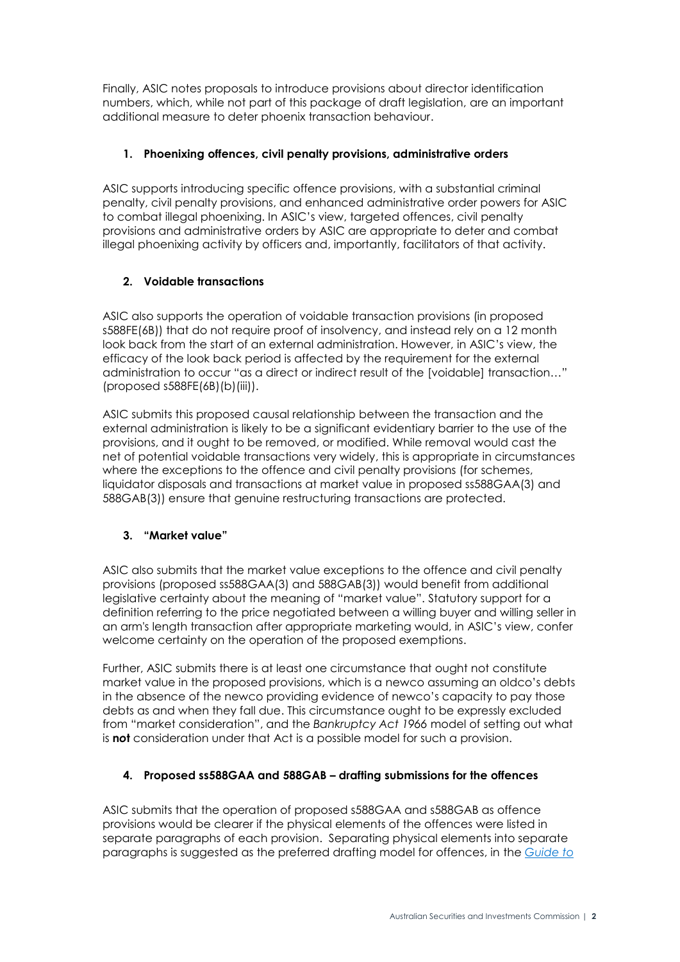Finally, ASIC notes proposals to introduce provisions about director identification numbers, which, while not part of this package of draft legislation, are an important additional measure to deter phoenix transaction behaviour.

# **1. Phoenixing offences, civil penalty provisions, administrative orders**

ASIC supports introducing specific offence provisions, with a substantial criminal penalty, civil penalty provisions, and enhanced administrative order powers for ASIC to combat illegal phoenixing. In ASIC's view, targeted offences, civil penalty provisions and administrative orders by ASIC are appropriate to deter and combat illegal phoenixing activity by officers and, importantly, facilitators of that activity.

# **2. Voidable transactions**

ASIC also supports the operation of voidable transaction provisions (in proposed s588FE(6B)) that do not require proof of insolvency, and instead rely on a 12 month look back from the start of an external administration. However, in ASIC's view, the efficacy of the look back period is affected by the requirement for the external administration to occur "as a direct or indirect result of the [voidable] transaction…" (proposed s588FE(6B)(b)(iii)).

ASIC submits this proposed causal relationship between the transaction and the external administration is likely to be a significant evidentiary barrier to the use of the provisions, and it ought to be removed, or modified. While removal would cast the net of potential voidable transactions very widely, this is appropriate in circumstances where the exceptions to the offence and civil penalty provisions (for schemes, liquidator disposals and transactions at market value in proposed ss588GAA(3) and 588GAB(3)) ensure that genuine restructuring transactions are protected.

# **3. "Market value"**

ASIC also submits that the market value exceptions to the offence and civil penalty provisions (proposed ss588GAA(3) and 588GAB(3)) would benefit from additional legislative certainty about the meaning of "market value". Statutory support for a definition referring to the price negotiated between a willing buyer and willing seller in an arm's length transaction after appropriate marketing would, in ASIC's view, confer welcome certainty on the operation of the proposed exemptions.

Further, ASIC submits there is at least one circumstance that ought not constitute market value in the proposed provisions, which is a newco assuming an oldco's debts in the absence of the newco providing evidence of newco's capacity to pay those debts as and when they fall due. This circumstance ought to be expressly excluded from "market consideration", and the *Bankruptcy Act 1966* model of setting out what is **n***o***t** consideration under that Act is a possible model for such a provision.

# **4. Proposed ss588GAA and 588GAB – drafting submissions for the offences**

ASIC submits that the operation of proposed s588GAA and s588GAB as offence provisions would be clearer if the physical elements of the offences were listed in separate paragraphs of each provision. Separating physical elements into separate paragraphs is suggested as the preferred drafting model for offences, in the *[Guide to](https://www.ag.gov.au/Publications/Pages/GuidetoFramingCommonwealthOffencesInfringementNoticesandEnforcementPowers.aspx)*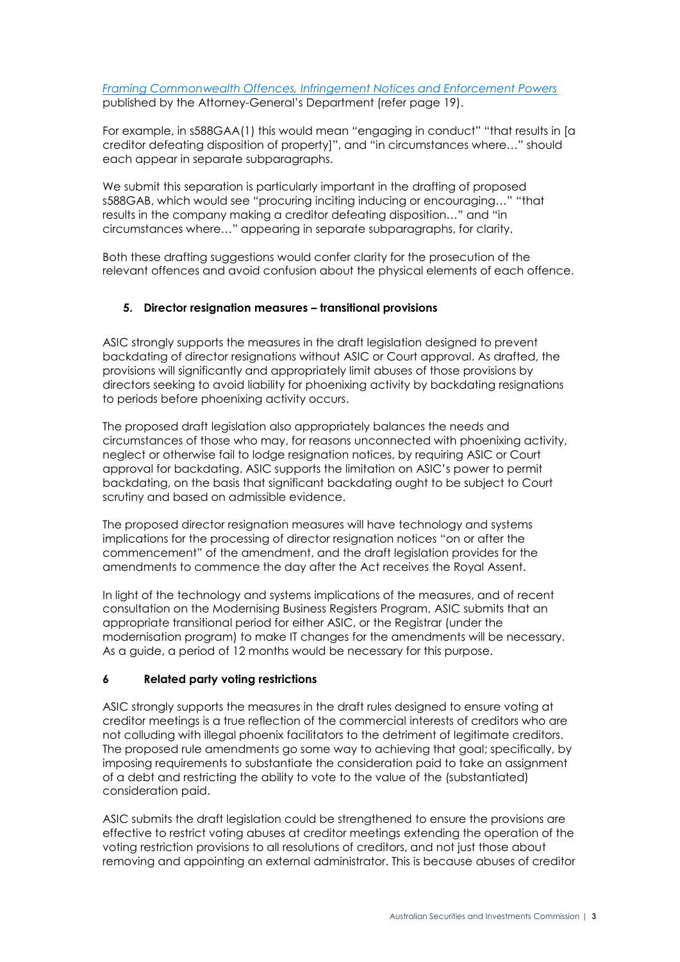### *[Framing Commonwealth Offences, Infringement Notices and Enforcement Powers](https://www.ag.gov.au/Publications/Pages/GuidetoFramingCommonwealthOffencesInfringementNoticesandEnforcementPowers.aspx)* published by the Attorney-General's Department (refer page 19).

For example, in s588GAA(1) this would mean "engaging in conduct" "that results in [a creditor defeating disposition of property]", and "in circumstances where…" should each appear in separate subparagraphs.

We submit this separation is particularly important in the drafting of proposed s588GAB, which would see "procuring inciting inducing or encouraging…" "that results in the company making a creditor defeating disposition…" and "in circumstances where…" appearing in separate subparagraphs, for clarity.

Both these drafting suggestions would confer clarity for the prosecution of the relevant offences and avoid confusion about the physical elements of each offence.

## **5. Director resignation measures – transitional provisions**

ASIC strongly supports the measures in the draft legislation designed to prevent backdating of director resignations without ASIC or Court approval. As drafted, the provisions will significantly and appropriately limit abuses of those provisions by directors seeking to avoid liability for phoenixing activity by backdating resignations to periods before phoenixing activity occurs.

The proposed draft legislation also appropriately balances the needs and circumstances of those who may, for reasons unconnected with phoenixing activity, neglect or otherwise fail to lodge resignation notices, by requiring ASIC or Court approval for backdating. ASIC supports the limitation on ASIC's power to permit backdating, on the basis that significant backdating ought to be subject to Court scrutiny and based on admissible evidence.

The proposed director resignation measures will have technology and systems implications for the processing of director resignation notices "on or after the commencement" of the amendment, and the draft legislation provides for the amendments to commence the day after the Act receives the Royal Assent.

In light of the technology and systems implications of the measures, and of recent consultation on the Modernising Business Registers Program, ASIC submits that an appropriate transitional period for either ASIC, or the Registrar (under the modernisation program) to make IT changes for the amendments will be necessary. As a guide, a period of 12 months would be necessary for this purpose.

### **6 Related party voting restrictions**

ASIC strongly supports the measures in the draft rules designed to ensure voting at creditor meetings is a true reflection of the commercial interests of creditors who are not colluding with illegal phoenix facilitators to the detriment of legitimate creditors. The proposed rule amendments go some way to achieving that goal; specifically, by imposing requirements to substantiate the consideration paid to take an assignment of a debt and restricting the ability to vote to the value of the (substantiated) consideration paid.

ASIC submits the draft legislation could be strengthened to ensure the provisions are effective to restrict voting abuses at creditor meetings extending the operation of the voting restriction provisions to all resolutions of creditors, and not just those about removing and appointing an external administrator. This is because abuses of creditor